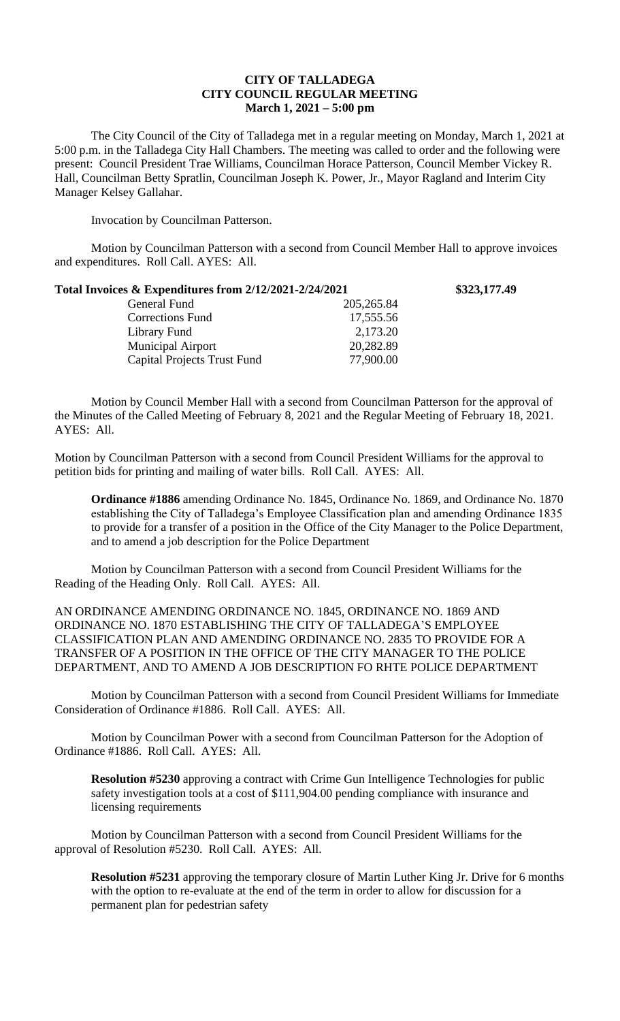## **CITY OF TALLADEGA CITY COUNCIL REGULAR MEETING March 1, 2021 – 5:00 pm**

The City Council of the City of Talladega met in a regular meeting on Monday, March 1, 2021 at 5:00 p.m. in the Talladega City Hall Chambers. The meeting was called to order and the following were present: Council President Trae Williams, Councilman Horace Patterson, Council Member Vickey R. Hall, Councilman Betty Spratlin, Councilman Joseph K. Power, Jr., Mayor Ragland and Interim City Manager Kelsey Gallahar.

Invocation by Councilman Patterson.

Motion by Councilman Patterson with a second from Council Member Hall to approve invoices and expenditures. Roll Call. AYES: All.

| Total Invoices & Expenditures from 2/12/2021-2/24/2021 |             | \$323,177.49 |
|--------------------------------------------------------|-------------|--------------|
| General Fund                                           | 205, 265.84 |              |
| <b>Corrections Fund</b>                                | 17,555.56   |              |
| Library Fund                                           | 2,173.20    |              |
| <b>Municipal Airport</b>                               | 20,282.89   |              |
| <b>Capital Projects Trust Fund</b>                     | 77,900.00   |              |

Motion by Council Member Hall with a second from Councilman Patterson for the approval of the Minutes of the Called Meeting of February 8, 2021 and the Regular Meeting of February 18, 2021. AYES: All.

Motion by Councilman Patterson with a second from Council President Williams for the approval to petition bids for printing and mailing of water bills. Roll Call. AYES: All.

**Ordinance #1886** amending Ordinance No. 1845, Ordinance No. 1869, and Ordinance No. 1870 establishing the City of Talladega's Employee Classification plan and amending Ordinance 1835 to provide for a transfer of a position in the Office of the City Manager to the Police Department, and to amend a job description for the Police Department

Motion by Councilman Patterson with a second from Council President Williams for the Reading of the Heading Only. Roll Call. AYES: All.

AN ORDINANCE AMENDING ORDINANCE NO. 1845, ORDINANCE NO. 1869 AND ORDINANCE NO. 1870 ESTABLISHING THE CITY OF TALLADEGA'S EMPLOYEE CLASSIFICATION PLAN AND AMENDING ORDINANCE NO. 2835 TO PROVIDE FOR A TRANSFER OF A POSITION IN THE OFFICE OF THE CITY MANAGER TO THE POLICE DEPARTMENT, AND TO AMEND A JOB DESCRIPTION FO RHTE POLICE DEPARTMENT

Motion by Councilman Patterson with a second from Council President Williams for Immediate Consideration of Ordinance #1886. Roll Call. AYES: All.

Motion by Councilman Power with a second from Councilman Patterson for the Adoption of Ordinance #1886. Roll Call. AYES: All.

**Resolution #5230** approving a contract with Crime Gun Intelligence Technologies for public safety investigation tools at a cost of \$111,904.00 pending compliance with insurance and licensing requirements

Motion by Councilman Patterson with a second from Council President Williams for the approval of Resolution #5230. Roll Call. AYES: All.

**Resolution #5231** approving the temporary closure of Martin Luther King Jr. Drive for 6 months with the option to re-evaluate at the end of the term in order to allow for discussion for a permanent plan for pedestrian safety